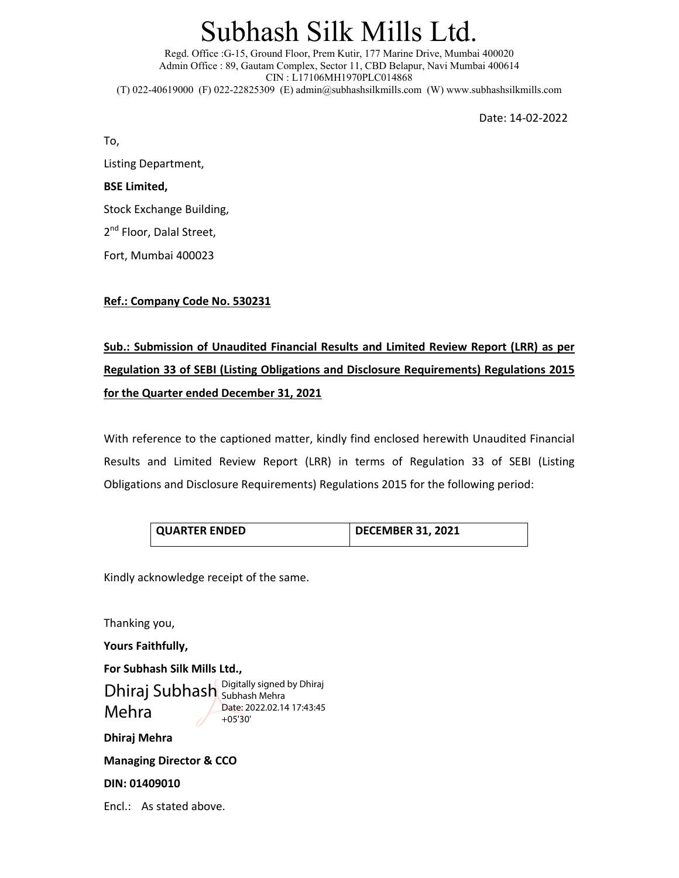# Subhash Silk Mills Ltd.

Regd. Office :G-15, Ground Floor, Prem Kutir, 177 Marine Drive, Mumbai 400020 Admin Office : 89, Gautam Complex, Sector 11, CBD Belapur, Navi Mumbai 400614 CIN : L17106MH1970PLC014868 (T) 022-40619000 (F) 022-22825309 (E) admin@subhashsilkmills.com (W) www.subhashsilkmills.com

Date: 14‐02‐2022

To,

Listing Department,

### **BSE Limited,**

Stock Exchange Building,

2<sup>nd</sup> Floor, Dalal Street,

Fort, Mumbai 400023

### **Ref.: Company Code No. 530231**

**Sub.: Submission of Unaudited Financial Results and Limited Review Report (LRR) as per Regulation 33 of SEBI (Listing Obligations and Disclosure Requirements) Regulations 2015 for the Quarter ended December 31, 2021**

With reference to the captioned matter, kindly find enclosed herewith Unaudited Financial Results and Limited Review Report (LRR) in terms of Regulation 33 of SEBI (Listing Obligations and Disclosure Requirements) Regulations 2015 for the following period:

| <b>QUARTER ENDED</b> | DECEMBER 31, 2021 |
|----------------------|-------------------|
|                      |                   |

Kindly acknowledge receipt of the same.

Thanking you, **Yours Faithfully,** 

**For Subhash Silk Mills Ltd., Dhiraj Mehra**  Dhiraj Subhash Bubhash Mehra Mehra Digitally signed by Dhiraj Date: 2022.02.14 17:43:45 +05'30'

**Managing Director & CCO** 

**DIN: 01409010** 

Encl.: As stated above.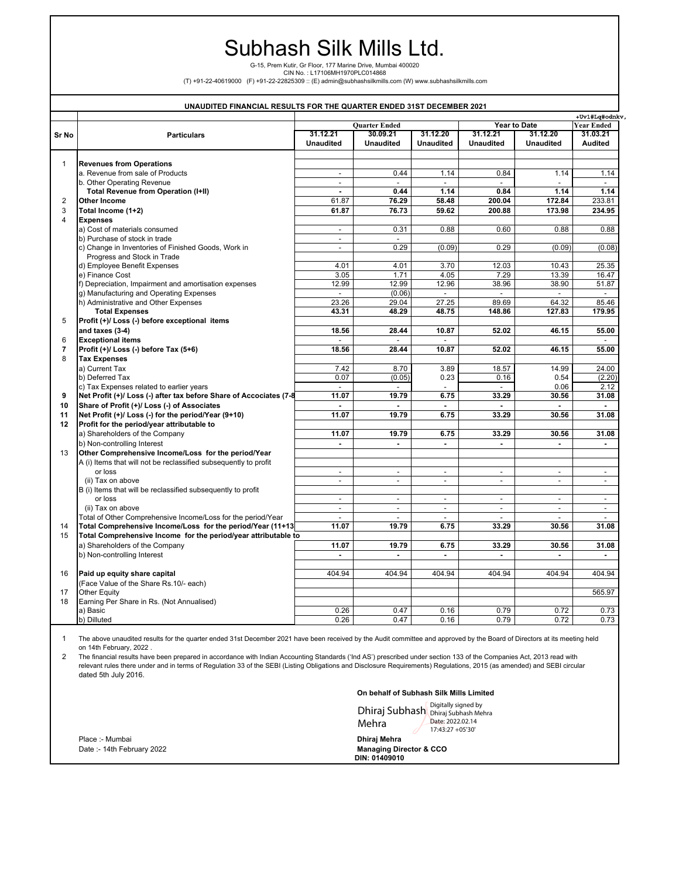## Subhash Silk Mills Ltd.

G-15, Prem Kutir, Gr Floor, 177 Marine Drive, Mumbai 400020

CIN No. : L17106MH1970PLC014868<br>(T) +91-22-40619000 (F) +91-22-22825309 :: (E) admin@subhashsilkmills.com (W) www.subhashsilkmills.com)

|                |                                                                    |                                             | UNAUDITED FINANCIAL RESULTS FOR THE QUARTER ENDED 31ST DECEMBER 2021 |                          |                             |                  |                        |
|----------------|--------------------------------------------------------------------|---------------------------------------------|----------------------------------------------------------------------|--------------------------|-----------------------------|------------------|------------------------|
|                |                                                                    | <b>Ouarter Ended</b><br><b>Year to Date</b> |                                                                      |                          |                             |                  | +Uv1#Lq#odnkv,         |
|                |                                                                    | 31.12.21                                    | 30.09.21                                                             | 31.12.20                 | 31.12.21                    | 31.12.20         | Year Ended<br>31.03.21 |
| Sr No          | <b>Particulars</b>                                                 | <b>Unaudited</b>                            | <b>Unaudited</b>                                                     | <b>Unaudited</b>         | <b>Unaudited</b>            | <b>Unaudited</b> | Audited                |
|                |                                                                    |                                             |                                                                      |                          |                             |                  |                        |
| $\mathbf{1}$   | <b>Revenues from Operations</b>                                    |                                             |                                                                      |                          |                             |                  |                        |
|                | a. Revenue from sale of Products                                   | $\overline{\phantom{a}}$                    | 0.44                                                                 | 1.14                     | 0.84                        | 1.14             | 1.14                   |
|                | b. Other Operating Revenue                                         | $\overline{\phantom{a}}$                    |                                                                      |                          |                             |                  |                        |
|                | Total Revenue from Operation (I+II)                                | $\blacksquare$                              | 0.44                                                                 | 1.14                     | 0.84                        | 1.14             | 1.14                   |
| $\overline{2}$ | <b>Other Income</b>                                                | 61.87                                       | 76.29                                                                | 58.48                    | 200.04                      | 172.84           | 233.81                 |
| 3              | Total Income (1+2)                                                 | 61.87                                       | 76.73                                                                | 59.62                    | 200.88                      | 173.98           | 234.95                 |
| $\overline{4}$ | <b>Expenses</b>                                                    |                                             |                                                                      |                          |                             |                  |                        |
|                | a) Cost of materials consumed                                      | $\overline{\phantom{a}}$                    | 0.31                                                                 | 0.88                     | 0.60                        | 0.88             | 0.88                   |
|                | b) Purchase of stock in trade                                      | $\blacksquare$                              | $\blacksquare$                                                       |                          |                             |                  |                        |
|                | c) Change in Inventories of Finished Goods, Work in                | $\blacksquare$                              | 0.29                                                                 | (0.09)                   | 0.29                        | (0.09)           | (0.08)                 |
|                | Progress and Stock in Trade                                        |                                             |                                                                      |                          |                             |                  |                        |
|                | d) Employee Benefit Expenses                                       | 4.01                                        | 4.01                                                                 | 3.70                     | 12.03                       | 10.43            | 25.35                  |
|                | e) Finance Cost                                                    | 3.05                                        | 1.71                                                                 | 4.05                     | 7.29                        | 13.39            | 16.47                  |
|                | f) Depreciation, Impairment and amortisation expenses              | 12.99                                       | 12.99                                                                | 12.96                    | 38.96                       | 38.90            | 51.87                  |
|                | g) Manufacturing and Operating Expenses                            | $\sim$                                      | (0.06)                                                               | $\sim$                   | $\mathbf{r}$                | $\mathbf{r}$     | $\mathbf{r}$           |
|                | h) Administrative and Other Expenses                               | 23.26                                       | 29.04                                                                | 27.25                    | 89.69                       | 64.32            | 85.46                  |
|                | <b>Total Expenses</b>                                              | 43.31                                       | 48.29                                                                | 48.75                    | 148.86                      | 127.83           | 179.95                 |
| 5              | Profit (+)/ Loss (-) before exceptional items                      |                                             |                                                                      |                          |                             |                  |                        |
|                | and taxes (3-4)                                                    | 18.56                                       | 28.44                                                                | 10.87                    | 52.02                       | 46.15            | 55.00                  |
| 6              | <b>Exceptional items</b>                                           | $\overline{a}$                              | $\overline{a}$                                                       | $\overline{a}$           |                             |                  | $\overline{a}$         |
|                |                                                                    |                                             |                                                                      | 10.87                    |                             | 46.15            |                        |
| 7<br>8         | Profit (+)/ Loss (-) before Tax (5+6)                              | 18.56                                       | 28.44                                                                |                          | 52.02                       |                  | 55.00                  |
|                | <b>Tax Expenses</b>                                                |                                             |                                                                      |                          |                             |                  |                        |
|                | a) Current Tax                                                     | 7.42                                        | 8.70                                                                 | 3.89                     | 18.57                       | 14.99            | 24.00                  |
|                | b) Deferred Tax                                                    | 0.07                                        | (0.05)                                                               | 0.23                     | 0.16                        | 0.54             | (2.20)                 |
|                | c) Tax Expenses related to earlier years                           | $\overline{\phantom{a}}$                    | $\sim$                                                               |                          | $\mathcal{L}_{\mathcal{A}}$ | 0.06             | 2.12                   |
| 9              | Net Profit (+)/ Loss (-) after tax before Share of Accociates (7-8 | 11.07                                       | 19.79                                                                | 6.75                     | 33.29                       | 30.56            | 31.08                  |
| 10             | Share of Profit (+)/ Loss (-) of Associates                        | $\overline{a}$                              | $\overline{a}$                                                       | $\blacksquare$           | $\overline{a}$              | $\blacksquare$   | $\overline{a}$         |
| 11             | Net Profit (+)/ Loss (-) for the period/Year (9+10)                | 11.07                                       | 19.79                                                                | 6.75                     | 33.29                       | 30.56            | 31.08                  |
| 12             | Profit for the period/year attributable to                         |                                             |                                                                      |                          |                             |                  |                        |
|                | a) Shareholders of the Company                                     | 11.07                                       | 19.79                                                                | 6.75                     | 33.29                       | 30.56            | 31.08                  |
|                | b) Non-controlling Interest                                        | ٠                                           | ٠                                                                    | ٠                        |                             |                  | $\blacksquare$         |
| 13             | Other Comprehensive Income/Loss for the period/Year                |                                             |                                                                      |                          |                             |                  |                        |
|                | A (i) Items that will not be reclassified subsequently to profit   |                                             |                                                                      |                          |                             |                  |                        |
|                | or loss                                                            | $\overline{\phantom{a}}$                    | $\blacksquare$                                                       | $\overline{\phantom{a}}$ | $\blacksquare$              | $\blacksquare$   | $\blacksquare$         |
|                | (ii) Tax on above                                                  | $\frac{1}{2}$                               | $\blacksquare$                                                       | $\overline{\phantom{a}}$ | $\overline{\phantom{a}}$    | $\blacksquare$   | $\blacksquare$         |
|                | B (i) Items that will be reclassified subsequently to profit       |                                             |                                                                      |                          |                             |                  |                        |
|                | or loss                                                            | $\overline{a}$                              | $\sim$                                                               | $\mathbb{Z}^2$           | $\overline{a}$              | $\overline{a}$   | $\sim$                 |
|                | (ii) Tax on above                                                  | $\blacksquare$                              | $\blacksquare$                                                       | $\overline{\phantom{a}}$ | $\blacksquare$              | $\blacksquare$   | $\blacksquare$         |
|                | Total of Other Comprehensive Income/Loss for the period/Year       | $\overline{a}$                              | $\overline{a}$                                                       | $\overline{\phantom{a}}$ |                             | $\overline{a}$   | $\overline{a}$         |
| 14             | Total Comprehensive Income/Loss for the period/Year (11+13         | 11.07                                       | 19.79                                                                | 6.75                     | 33.29                       | 30.56            | 31.08                  |
| 15             | Total Comprehensive Income for the period/year attributable to     |                                             |                                                                      |                          |                             |                  |                        |
|                | a) Shareholders of the Company                                     | 11.07                                       | 19.79                                                                | 6.75                     | 33.29                       | 30.56            | 31.08                  |
|                | b) Non-controlling Interest                                        | $\blacksquare$                              | $\blacksquare$                                                       | $\blacksquare$           | $\blacksquare$              | ä,               | $\blacksquare$         |
|                |                                                                    |                                             |                                                                      |                          |                             |                  |                        |
| 16             | Paid up equity share capital                                       | 404.94                                      | 404.94                                                               | 404.94                   | 404.94                      | 404.94           | 404.94                 |
|                | (Face Value of the Share Rs.10/- each)                             |                                             |                                                                      |                          |                             |                  |                        |
| 17             | <b>Other Equity</b>                                                |                                             |                                                                      |                          |                             |                  | 565.97                 |
| 18             | Earning Per Share in Rs. (Not Annualised)                          |                                             |                                                                      |                          |                             |                  |                        |
|                | a) Basic                                                           | 0.26                                        | 0.47                                                                 | 0.16                     | 0.79                        | 0.72             | 0.73                   |
|                | b) Dilluted                                                        | 0.26                                        | 0.47                                                                 | 0.16                     | 0.79                        | 0.72             | 0.73                   |

1 The above unaudited results for the quarter ended 31st December 2021 have been received by the Audit committee and approved by the Board of Directors at its meeting held on 14th February, 2022 .

2 The financial results have been prepared in accordance with Indian Accounting Standards ('Ind AS') prescribed under section 133 of the Companies Act, 2013 read with relevant rules there under and in terms of Regulation 33 of the SEBI (Listing Obligations and Disclosure Requirements) Regulations, 2015 (as amended) and SEBI circular dated 5th July 2016.

#### **On behalf of Subhash Silk Mills Limited**

|                            | Dhiraj Subhash Digitally signed by<br>Dhiraj Subhash Mehra<br>Date: 2022.02.14<br>Mehra<br>17:43:27 +05'30' |  |  |  |
|----------------------------|-------------------------------------------------------------------------------------------------------------|--|--|--|
| Place :- Mumbai            | Dhirai Mehra                                                                                                |  |  |  |
| Date: - 14th February 2022 | <b>Managing Director &amp; CCO</b><br>DIN: 01409010                                                         |  |  |  |